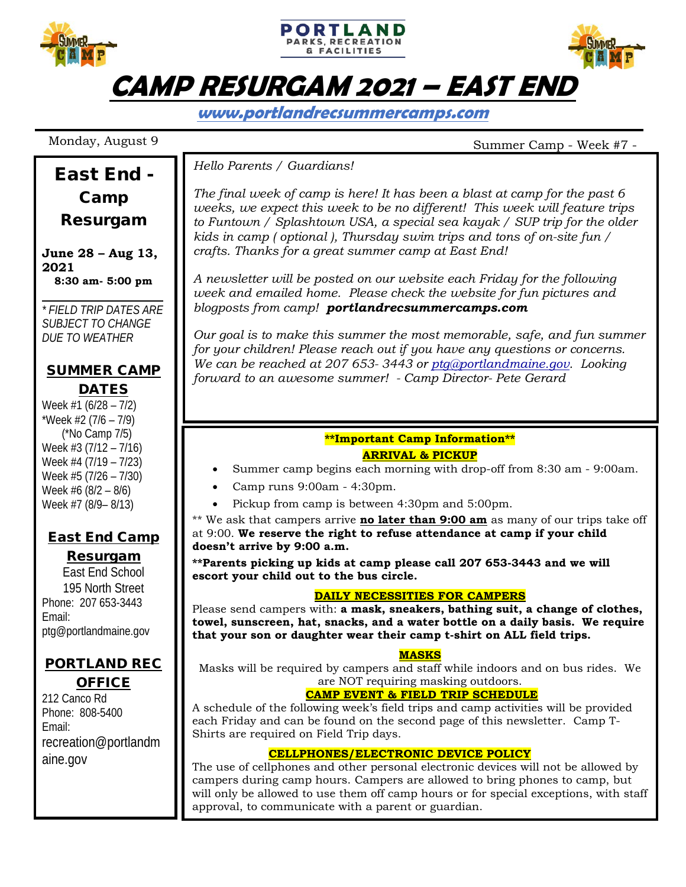

**www.portlandrecsummercamps.com**

East End -

# Monday, August 9 Summer Camp - Week #7 -

#### *Hello Parents / Guardians!*

*The final week of camp is here! It has been a blast at camp for the past 6 weeks, we expect this week to be no different! This week will feature trips to Funtown / Splashtown USA, a special sea kayak / SUP trip for the older kids in camp ( optional ), Thursday swim trips and tons of on-site fun / crafts. Thanks for a great summer camp at East End!*

*A newsletter will be posted on our website each Friday for the following week and emailed home. Please check the website for fun pictures and blogposts from camp! portlandrecsummercamps.com*

*Our goal is to make this summer the most memorable, safe, and fun summer for your children! Please reach out if you have any questions or concerns. We can be reached at 207 653- 3443 or [ptg@portlandmaine.gov.](mailto:ptg@portlandmaine.gov) Looking forward to an awesome summer! - Camp Director- Pete Gerard*

### **\*\*Important Camp Information\*\***

#### **ARRIVAL & PICKUP**

- Summer camp begins each morning with drop-off from 8:30 am 9:00am.
- Camp runs 9:00am 4:30pm.
- Pickup from camp is between 4:30pm and 5:00pm.

\*\* We ask that campers arrive **no later than 9:00 am** as many of our trips take off at 9:00. **We reserve the right to refuse attendance at camp if your child doesn't arrive by 9:00 a.m.**

**\*\*Parents picking up kids at camp please call 207 653-3443 and we will escort your child out to the bus circle.**

#### **DAILY NECESSITIES FOR CAMPERS**

Please send campers with: **a mask, sneakers, bathing suit, a change of clothes, towel, sunscreen, hat, snacks, and a water bottle on a daily basis. We require that your son or daughter wear their camp t-shirt on ALL field trips.**

#### **MASKS**

Masks will be required by campers and staff while indoors and on bus rides. We are NOT requiring masking outdoors.

#### **CAMP EVENT & FIELD TRIP SCHEDULE**

A schedule of the following week's field trips and camp activities will be provided each Friday and can be found on the second page of this newsletter. Camp T-Shirts are required on Field Trip days.

#### **CELLPHONES/ELECTRONIC DEVICE POLICY**

The use of cellphones and other personal electronic devices will not be allowed by campers during camp hours. Campers are allowed to bring phones to camp, but will only be allowed to use them off camp hours or for special exceptions, with staff approval, to communicate with a parent or guardian.

Camp Resurgam

**June 28 – Aug 13, 2021 8:30 am- 5:00 pm**

*\* FIELD TRIP DATES ARE SUBJECT TO CHANGE DUE TO WEATHER*

# SUMMER CAMP **DATES**

Week #1 (6/28 – 7/2) \*Week  $#2 (7/6 - 7/9)$  (\*No Camp 7/5) Week #3 (7/12 – 7/16) Week #4 (7/19 – 7/23) Week #5 (7/26 – 7/30) Week #6 (8/2 – 8/6) Week #7 (8/9– 8/13)

## East End Camp

Resurgam East End School 195 North Street Phone: 207 653-3443 Email:

ptg@portlandmaine.gov

# PORTLAND REC **OFFICE**

212 Canco Rd Phone: 808-5400 Email: recreation@portlandm aine.gov